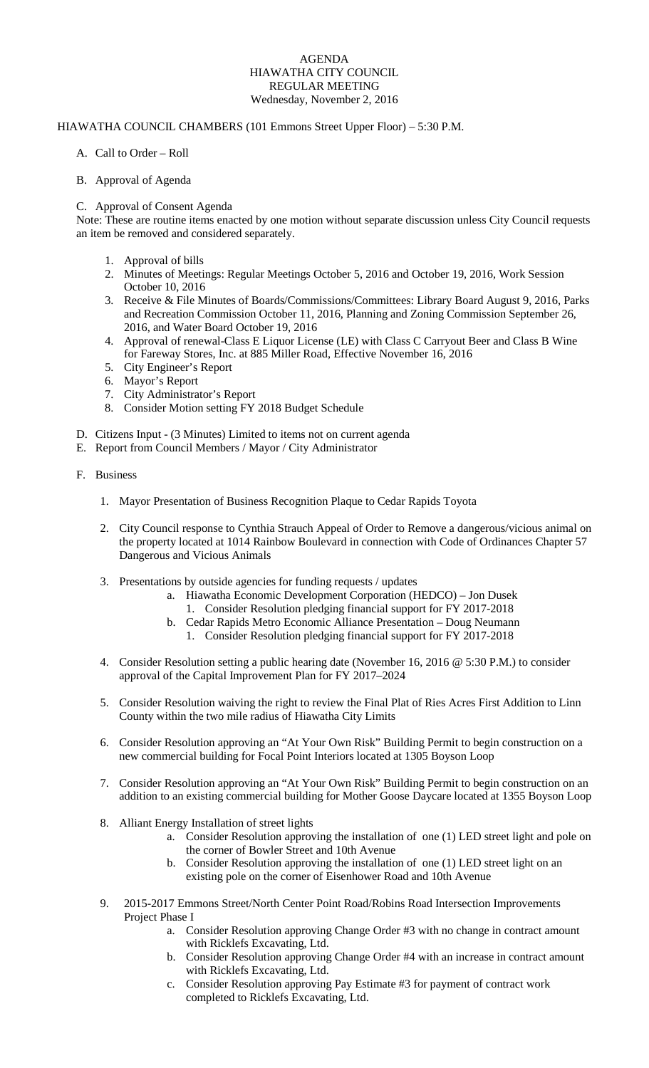#### AGENDA HIAWATHA CITY COUNCIL REGULAR MEETING Wednesday, November 2, 2016

## HIAWATHA COUNCIL CHAMBERS (101 Emmons Street Upper Floor) – 5:30 P.M.

A. Call to Order – Roll

## B. Approval of Agenda

# C. Approval of Consent Agenda

Note: These are routine items enacted by one motion without separate discussion unless City Council requests an item be removed and considered separately.

- 1. Approval of bills
- 2. Minutes of Meetings: Regular Meetings October 5, 2016 and October 19, 2016, Work Session October 10, 2016
- 3. Receive & File Minutes of Boards/Commissions/Committees: Library Board August 9, 2016, Parks and Recreation Commission October 11, 2016, Planning and Zoning Commission September 26, 2016, and Water Board October 19, 2016
- 4. Approval of renewal-Class E Liquor License (LE) with Class C Carryout Beer and Class B Wine for Fareway Stores, Inc. at 885 Miller Road, Effective November 16, 2016
- 5. City Engineer's Report
- 6. Mayor's Report
- 7. City Administrator's Report
- 8. Consider Motion setting FY 2018 Budget Schedule
- D. Citizens Input (3 Minutes) Limited to items not on current agenda
- E. Report from Council Members / Mayor / City Administrator
- F. Business
	- 1. Mayor Presentation of Business Recognition Plaque to Cedar Rapids Toyota
	- 2. City Council response to Cynthia Strauch Appeal of Order to Remove a dangerous/vicious animal on the property located at 1014 Rainbow Boulevard in connection with Code of Ordinances Chapter 57 Dangerous and Vicious Animals
	- 3. Presentations by outside agencies for funding requests / updates
		- a. Hiawatha Economic Development Corporation (HEDCO) Jon Dusek
			- 1. Consider Resolution pledging financial support for FY 2017-2018
		- b. Cedar Rapids Metro Economic Alliance Presentation Doug Neumann
		- 1. Consider Resolution pledging financial support for FY 2017-2018
	- 4. Consider Resolution setting a public hearing date (November 16, 2016 @ 5:30 P.M.) to consider approval of the Capital Improvement Plan for FY 2017–2024
	- 5. Consider Resolution waiving the right to review the Final Plat of Ries Acres First Addition to Linn County within the two mile radius of Hiawatha City Limits
	- 6. Consider Resolution approving an "At Your Own Risk" Building Permit to begin construction on a new commercial building for Focal Point Interiors located at 1305 Boyson Loop
	- 7. Consider Resolution approving an "At Your Own Risk" Building Permit to begin construction on an addition to an existing commercial building for Mother Goose Daycare located at 1355 Boyson Loop
	- 8. Alliant Energy Installation of street lights
		- a. Consider Resolution approving the installation of one (1) LED street light and pole on the corner of Bowler Street and 10th Avenue
		- b. Consider Resolution approving the installation of one (1) LED street light on an existing pole on the corner of Eisenhower Road and 10th Avenue
	- 9. 2015-2017 Emmons Street/North Center Point Road/Robins Road Intersection Improvements Project Phase I
		- a. Consider Resolution approving Change Order #3 with no change in contract amount with Ricklefs Excavating, Ltd.
		- b. Consider Resolution approving Change Order #4 with an increase in contract amount with Ricklefs Excavating, Ltd.
		- c. Consider Resolution approving Pay Estimate #3 for payment of contract work completed to Ricklefs Excavating, Ltd.